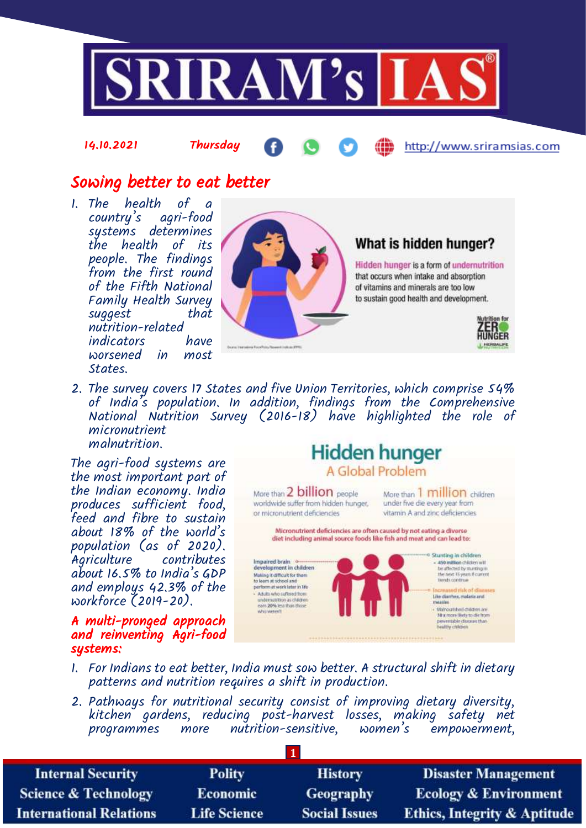

## Sowing better to eat better

14.10.2021 Thursday

1. The health of a country's agri-food systems determines the health of its people. The findings from the first round of the Fifth National Family Health Survey suggest that nutrition-related indicators worsened in most States.



### What is hidden hunger?

Hidden hunger is a form of undernutrition that occurs when intake and absorption of vitamins and minerals are too low to sustain good health and development.



http://www.sriramsias.com

2. The survey covers 17 States and five Union Territories, which comprise 54% of India's population. In addition, findings from the Comprehensive National Nutrition Survey (2016-18) have highlighted the role of micronutrient malnutrition.

The agri-food systems are the most important part of the Indian economy. India produces sufficient food, feed and fibre to sustain about 18% of the world's population (as of 2020). Agriculture contributes about 16.5% to India's GDP and employs 42.3% of the workforce (2019-20).

A multi-pronged approach and reinventing Agri-food systems:

# **Hidden hunger** A Global Problem

More than 2 billion people worldwide suffer from hidden hunger. or micronutrient deficiencies

More than 1 million children under five die every year from vitamin A and zinc deficiencies

Micronutrient deficiencies are often caused by not eating a diverse diet including animal source foods like fish and meat and can lead to:



- 1. For Indians to eat better, India must sow better. A structural shift in dietary patterns and nutrition requires a shift in production.
- 2. Pathways for nutritional security consist of improving dietary diversity, kitchen gardens, reducing post-harvest losses, making safety net programmes more nutrition-sensitive, women's empowerment,

**1**

| <b>Internal Security</b>        | <b>Polity</b>       | <b>History</b>       | <b>Disaster Management</b>              |
|---------------------------------|---------------------|----------------------|-----------------------------------------|
| <b>Science &amp; Technology</b> | <b>Economic</b>     | Geography            | <b>Ecology &amp; Environment</b>        |
| <b>International Relations</b>  | <b>Life Science</b> | <b>Social Issues</b> | <b>Ethics, Integrity &amp; Aptitude</b> |
|                                 |                     |                      |                                         |